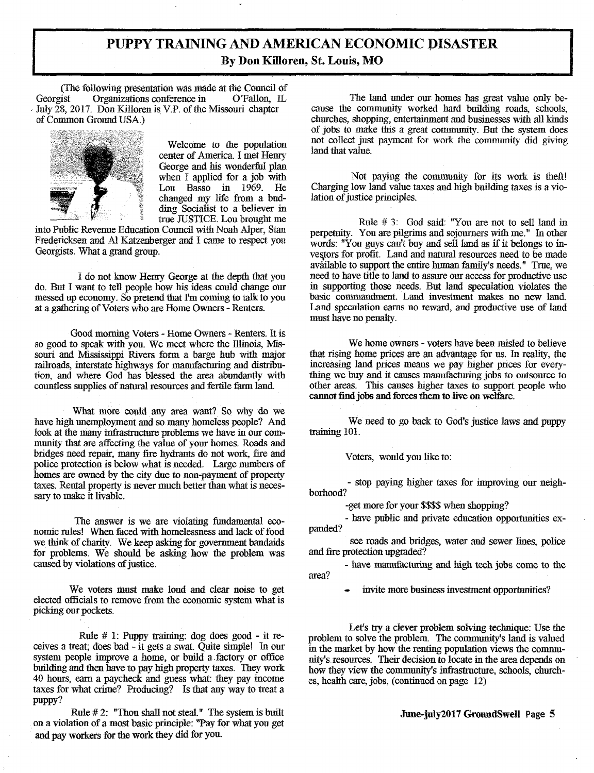## **PUPPY TRAINING AND AMERICAN ECONOMIC PISASTER By Don Killoren, St. Louis, MO**

(The following presentation *was* made at the Council of Georgist Organizations conference in July 28, 2017. Don Killoren is V.P. of the Missouri chapter of Common Ground USA.)



Welcome to the population center of America I met Henry George and his wonderful plan when I applied for a job with<br>Lou Basso in  $1969$ . He Lou Basso in  $1969$ . changed my life from a budding Socialist to a believer in true JUSTICE. Lou brought me

into Public Revenue Education Council with Noah Alper, Stan Fredericksen and Al Katzenberger and I came to respect you Georgists. What a grand group.

I do not know Henry George at the depth that you do. But I want to tell people how his ideas could change our messed up economy. So pretend that I'm coming to talk to you at a gathering of Voters who are Home Owners - Renters.

Good morning Voters - Home Owners - Renters. It is so good to speak with you. We meet where the Illinois, Missouri and Mississippi Rivers form a barge hub with major railroads, interstate highways for manufacturing and distribution, and where God has blessed the area abundantly with countless supplies of natural resources and fertile farm land.

What more could any area want? So why do we have high unemployment and so many homeless people? And look at the many infrastructure problems we have in our community that are affecting the value of your homes. Roads and bridges need repair, many fire hydrants do not work, fire and police protection is below what is needed. Large numbers of homes are owned by the city due to non-payment of property taxes. Rental property is never much better than what is necessary to make it livable.

The answer is we are violating fundamental economic rules! When faced with homelessness and lack of food we think of charity. We keep asking for government bandaids for problems. We should be asking how the problem was caused by violations of justice.

We voters must make loud and clear noise to get elected officials to remove from the economic system what is picking our pockets.

Rule # 1: Puppy training: dog does good - it receives a treat; does bad - it gets a swat. Quite simple! In our system people improve a home, or build a factory or office building and then have to pay high property taxes. They work 40 hours, earn a paycheck and guess what: they pay income taxes for what crime? Producing? Is that any way to treat a puppy?

Rule #2: "Thou shall not steal." The system is built on a violation of a most basic principle: "Pay for what you get and pay workers for the work they did for you.

The land under our homes has great value only because the community worked hard building roads, schools, churches, shopping, entertainment and businesses with all kinds of jobs to make this a great community. But the system does not collect just payment for work the community did giving land that value.

Not paying the community for its work is theft! Charging low land value taxes and high building taxes is a violation of justice principles.

Rule # *3:* God said: "You are not to sell land in perpetuity. You are pilgrims and sojourners with me." In other words: "You guys can't buy and sell land as if it belongs to investors for profit. Land and natural resources need to be made available to support the entire human family's needs." True, we need to have title to land to assure our access for productive use in supporting those needs. But land speculation violates the basic commandment. Land investment makes no new land. Land speculation earns no reward, and productive use of land must have no penalty.

We home owners - voters have been misled to believe that rising home prices are an advantage for us. in reality, the increasing land prices means we pay higher prices for everything we buy and it causes manufacturing jobs to outsource to other areas. This causes higher taxes to support people who cannot find jobs and forces them to live on welfare.

We need to go back to God's justice laws and puppy training 101.

Voters, would you like to:

- stop paying higher taxes for improving our neighborhood?

-get more for your \$\$\$\$ when shopping?

- have public and private education opportunities expanded?

see roads and bridges, water and sewer lines, police and fire protection upgraded?

- have manufacturing and high tech jobs come to the area?

invite more business investment opportunities?

Let's try a clever problem solving technique: Use the problem to solve the problem. The community's land is valued in the market by how the renting population views the community's resources. Their decision to locate in the area depends on how they view the community's infrastructure, schools, churches, health care, jobs, (continued on page 12)

## **June-juIy2017 GroundSwell** Page **5**